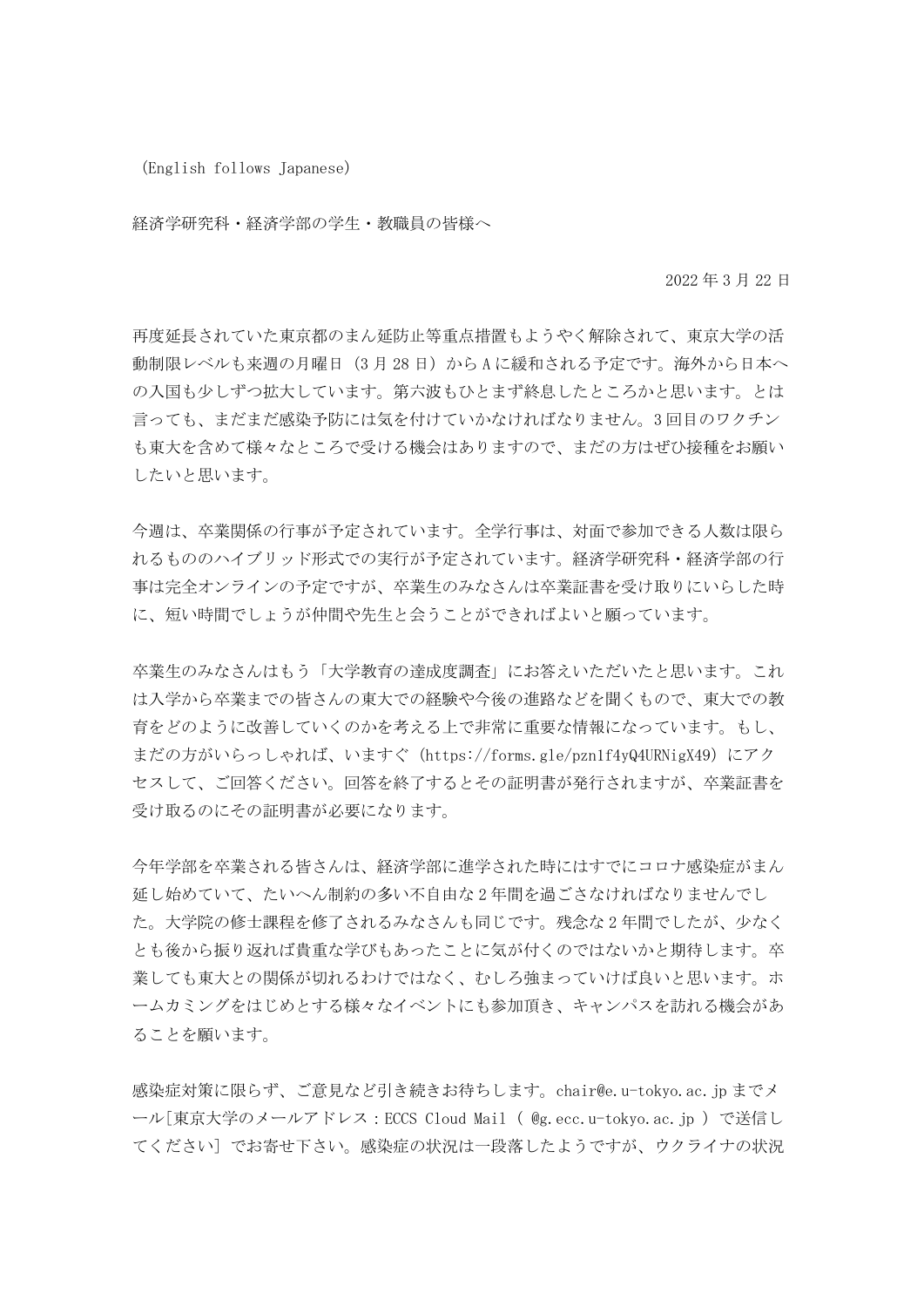(English follows Japanese)

経済学研究科・経済学部の学生・教職員の皆様へ

2022 年 3 月 22 日

再度延長されていた東京都のまん延防止等重点措置もようやく解除されて、東京大学の活 動制限レベルも来週の月曜日 (3月28日)から A に緩和される予定です。海外から日本へ の入国も少しずつ拡大しています。第六波もひとまず終息したところかと思います。とは 言っても、まだまだ感染予防には気を付けていかなければなりません。3 回目のワクチン も東大を含めて様々なところで受ける機会はありますので、まだの方はぜひ接種をお願い したいと思います。

今週は、卒業関係の行事が予定されています。全学行事は、対面で参加できる人数は限ら れるもののハイブリッド形式での実行が予定されています。経済学研究科・経済学部の行 事は完全オンラインの予定ですが、卒業生のみなさんは卒業証書を受け取りにいらした時 に、短い時間でしょうが仲間や先生と会うことができればよいと願っています。

卒業生のみなさんはもう「大学教育の達成度調査」にお答えいただいたと思います。これ は入学から卒業までの皆さんの東大での経験や今後の進路などを聞くもので、東大での教 育をどのように改善していくのかを考える上で非常に重要な情報になっています。もし、 まだの方がいらっしゃれば、いますぐ (https://forms.gle/pzn1f4yQ4URNigX49)にアク セスして、ご回答ください。回答を終了するとその証明書が発行されますが、卒業証書を 受け取るのにその証明書が必要になります。

今年学部を卒業される皆さんは、経済学部に進学された時にはすでにコロナ感染症がまん 延し始めていて、たいへん制約の多い不自由な 2 年間を過ごさなければなりませんでし た。大学院の修士課程を修了されるみなさんも同じです。残念な 2 年間でしたが、少なく とも後から振り返れば貴重な学びもあったことに気が付くのではないかと期待します。卒 業しても東大との関係が切れるわけではなく、むしろ強まっていけば良いと思います。ホ ームカミングをはじめとする様々なイベントにも参加頂き、キャンパスを訪れる機会があ ることを願います。

感染症対策に限らず、ご意見など引き続きお待ちします。chair@e.u-tokyo.ac.jp までメ ール[東京大学のメールアドレス:ECCS Cloud Mail ( @g.ecc.u-tokyo.ac.jp )で送信し てください] でお寄せ下さい。感染症の状況は一段落したようですが、ウクライナの状況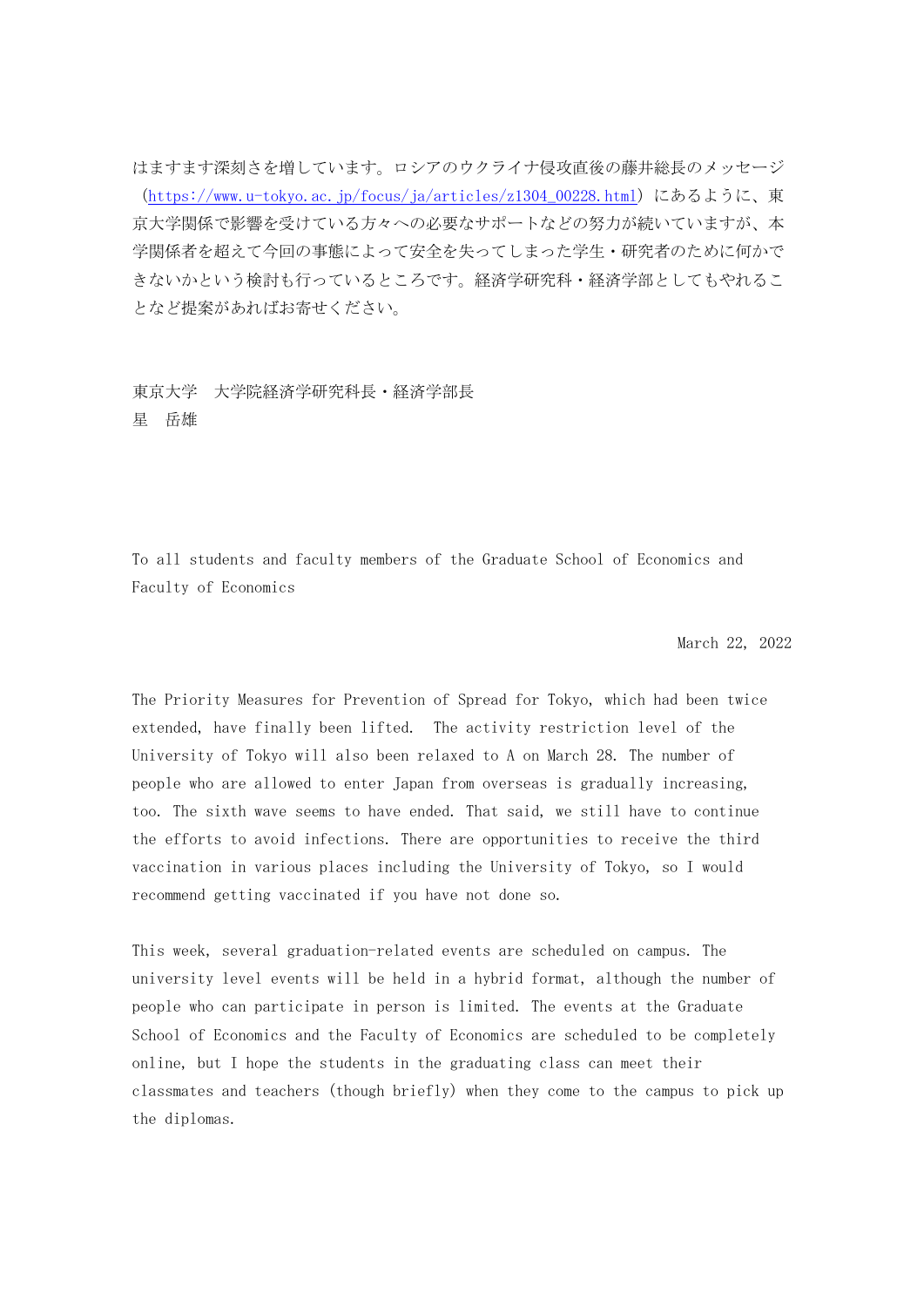はますます深刻さを増しています。ロシアのウクライナ侵攻直後の藤井総長のメッセージ ([https://www.u-tokyo.ac.jp/focus/ja/articles/z1304\\_00228.html](https://www.u-tokyo.ac.jp/focus/ja/articles/z1304_00228.html))にあるように、東 京大学関係で影響を受けている方々への必要なサポートなどの努力が続いていますが、本 学関係者を超えて今回の事態によって安全を失ってしまった学生・研究者のために何かで きないかという検討も行っているところです。経済学研究科・経済学部としてもやれるこ となど提案があればお寄せください。

## 東京大学 大学院経済学研究科長・経済学部長 星 岳雄

To all students and faculty members of the Graduate School of Economics and Faculty of Economics

March 22, 2022

The Priority Measures for Prevention of Spread for Tokyo, which had been twice extended, have finally been lifted. The activity restriction level of the University of Tokyo will also been relaxed to A on March 28. The number of people who are allowed to enter Japan from overseas is gradually increasing, too. The sixth wave seems to have ended. That said, we still have to continue the efforts to avoid infections. There are opportunities to receive the third vaccination in various places including the University of Tokyo, so I would recommend getting vaccinated if you have not done so.

This week, several graduation-related events are scheduled on campus. The university level events will be held in a hybrid format, although the number of people who can participate in person is limited. The events at the Graduate School of Economics and the Faculty of Economics are scheduled to be completely online, but I hope the students in the graduating class can meet their classmates and teachers (though briefly) when they come to the campus to pick up the diplomas.